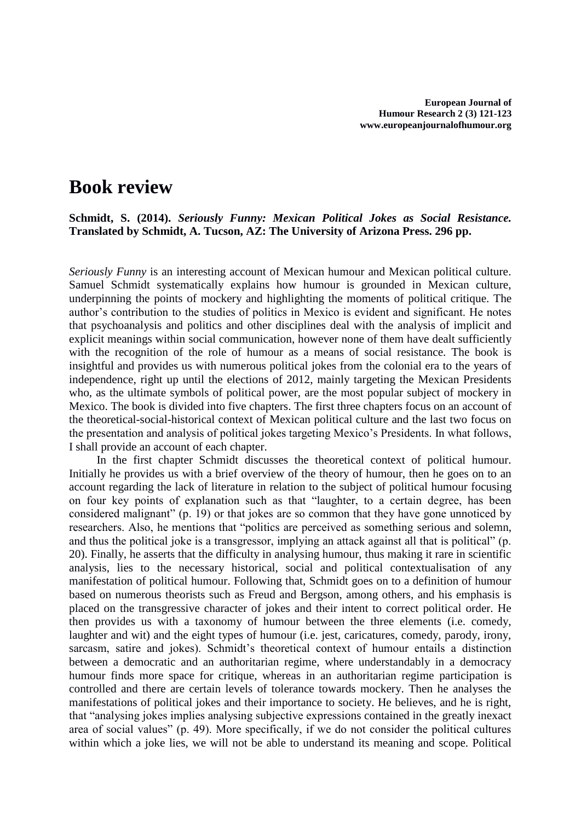## **Book review**

**Schmidt, S. (2014).** *Seriously Funny: Mexican Political Jokes as Social Resistance.* **Translated by Schmidt, A. Tucson, AZ: The University of Arizona Press. 296 pp.**

*Seriously Funny* is an interesting account of Mexican humour and Mexican political culture. Samuel Schmidt systematically explains how humour is grounded in Mexican culture, underpinning the points of mockery and highlighting the moments of political critique. The author's contribution to the studies of politics in Mexico is evident and significant. He notes that psychoanalysis and politics and other disciplines deal with the analysis of implicit and explicit meanings within social communication, however none of them have dealt sufficiently with the recognition of the role of humour as a means of social resistance. The book is insightful and provides us with numerous political jokes from the colonial era to the years of independence, right up until the elections of 2012, mainly targeting the Mexican Presidents who, as the ultimate symbols of political power, are the most popular subject of mockery in Mexico. The book is divided into five chapters. The first three chapters focus on an account of the theoretical-social-historical context of Mexican political culture and the last two focus on the presentation and analysis of political jokes targeting Mexico's Presidents. In what follows, I shall provide an account of each chapter.

In the first chapter Schmidt discusses the theoretical context of political humour. Initially he provides us with a brief overview of the theory of humour, then he goes on to an account regarding the lack of literature in relation to the subject of political humour focusing on four key points of explanation such as that "laughter, to a certain degree, has been considered malignant" (p. 19) or that jokes are so common that they have gone unnoticed by researchers. Also, he mentions that "politics are perceived as something serious and solemn, and thus the political joke is a transgressor, implying an attack against all that is political" (p. 20). Finally, he asserts that the difficulty in analysing humour, thus making it rare in scientific analysis, lies to the necessary historical, social and political contextualisation of any manifestation of political humour. Following that, Schmidt goes on to a definition of humour based on numerous theorists such as Freud and Bergson, among others, and his emphasis is placed on the transgressive character of jokes and their intent to correct political order. He then provides us with a taxonomy of humour between the three elements (i.e. comedy, laughter and wit) and the eight types of humour (i.e. jest, caricatures, comedy, parody, irony, sarcasm, satire and jokes). Schmidt's theoretical context of humour entails a distinction between a democratic and an authoritarian regime, where understandably in a democracy humour finds more space for critique, whereas in an authoritarian regime participation is controlled and there are certain levels of tolerance towards mockery. Then he analyses the manifestations of political jokes and their importance to society. He believes, and he is right, that "analysing jokes implies analysing subjective expressions contained in the greatly inexact area of social values" (p. 49). More specifically, if we do not consider the political cultures within which a joke lies, we will not be able to understand its meaning and scope. Political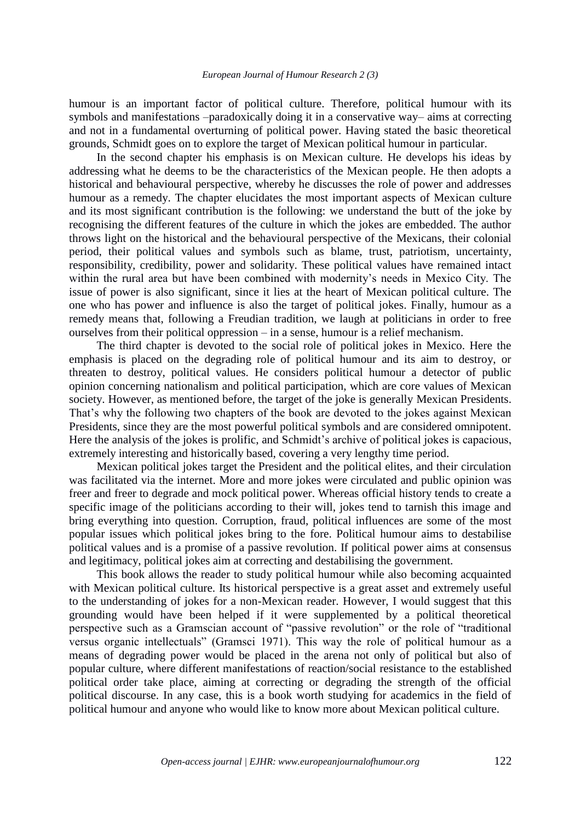## *European Journal of Humour Research 2 (3)*

humour is an important factor of political culture. Therefore, political humour with its symbols and manifestations –paradoxically doing it in a conservative way– aims at correcting and not in a fundamental overturning of political power. Having stated the basic theoretical grounds, Schmidt goes on to explore the target of Mexican political humour in particular.

In the second chapter his emphasis is on Mexican culture. He develops his ideas by addressing what he deems to be the characteristics of the Mexican people. He then adopts a historical and behavioural perspective, whereby he discusses the role of power and addresses humour as a remedy. The chapter elucidates the most important aspects of Mexican culture and its most significant contribution is the following: we understand the butt of the joke by recognising the different features of the culture in which the jokes are embedded. The author throws light on the historical and the behavioural perspective of the Mexicans, their colonial period, their political values and symbols such as blame, trust, patriotism, uncertainty, responsibility, credibility, power and solidarity. These political values have remained intact within the rural area but have been combined with modernity's needs in Mexico City. The issue of power is also significant, since it lies at the heart of Mexican political culture. The one who has power and influence is also the target of political jokes. Finally, humour as a remedy means that, following a Freudian tradition, we laugh at politicians in order to free ourselves from their political oppression – in a sense, humour is a relief mechanism.

The third chapter is devoted to the social role of political jokes in Mexico. Here the emphasis is placed on the degrading role of political humour and its aim to destroy, or threaten to destroy, political values. He considers political humour a detector of public opinion concerning nationalism and political participation, which are core values of Mexican society. However, as mentioned before, the target of the joke is generally Mexican Presidents. That's why the following two chapters of the book are devoted to the jokes against Mexican Presidents, since they are the most powerful political symbols and are considered omnipotent. Here the analysis of the jokes is prolific, and Schmidt's archive of political jokes is capacious, extremely interesting and historically based, covering a very lengthy time period.

Mexican political jokes target the President and the political elites, and their circulation was facilitated via the internet. More and more jokes were circulated and public opinion was freer and freer to degrade and mock political power. Whereas official history tends to create a specific image of the politicians according to their will, jokes tend to tarnish this image and bring everything into question. Corruption, fraud, political influences are some of the most popular issues which political jokes bring to the fore. Political humour aims to destabilise political values and is a promise of a passive revolution. If political power aims at consensus and legitimacy, political jokes aim at correcting and destabilising the government.

This book allows the reader to study political humour while also becoming acquainted with Mexican political culture. Its historical perspective is a great asset and extremely useful to the understanding of jokes for a non-Mexican reader. However, I would suggest that this grounding would have been helped if it were supplemented by a political theoretical perspective such as a Gramscian account of "passive revolution" or the role of "traditional versus organic intellectuals" (Gramsci 1971). This way the role of political humour as a means of degrading power would be placed in the arena not only of political but also of popular culture, where different manifestations of reaction/social resistance to the established political order take place, aiming at correcting or degrading the strength of the official political discourse. In any case, this is a book worth studying for academics in the field of political humour and anyone who would like to know more about Mexican political culture.